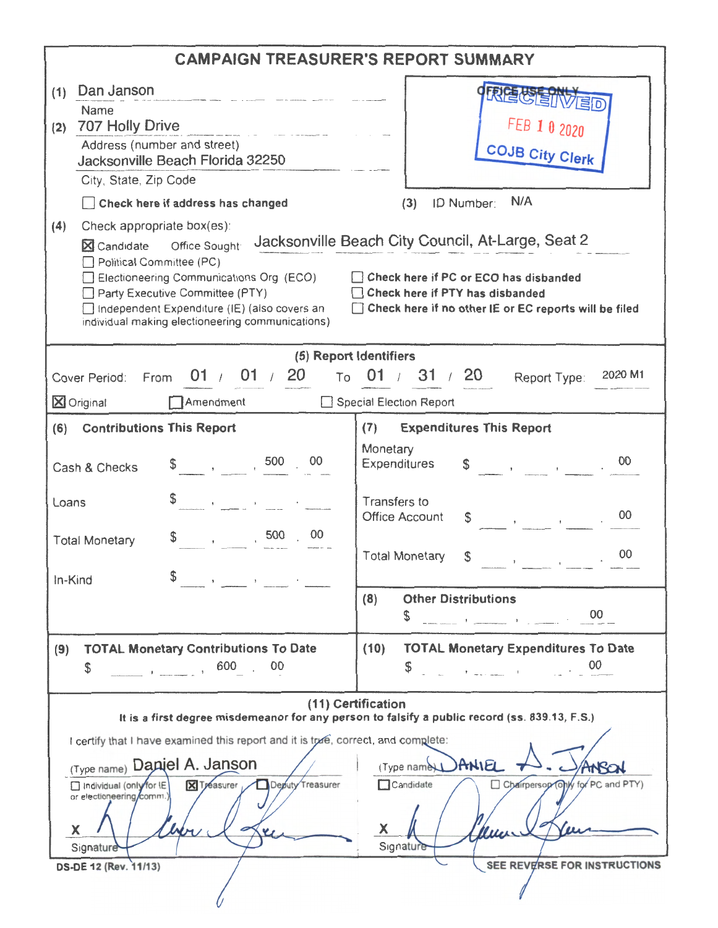| <b>CAMPAIGN TREASURER'S REPORT SUMMARY</b>                                                                                                                                                                                                                                                                                                                                                                                                                                                                                                      |                                                                                                                                                                                                                                                                                                                                                                                                                                                                                                                                                      |  |  |  |  |
|-------------------------------------------------------------------------------------------------------------------------------------------------------------------------------------------------------------------------------------------------------------------------------------------------------------------------------------------------------------------------------------------------------------------------------------------------------------------------------------------------------------------------------------------------|------------------------------------------------------------------------------------------------------------------------------------------------------------------------------------------------------------------------------------------------------------------------------------------------------------------------------------------------------------------------------------------------------------------------------------------------------------------------------------------------------------------------------------------------------|--|--|--|--|
| Dan Janson<br>(1)<br><b>Name</b><br>707 Holly Drive<br>(2)<br>$\label{eq:1.1} \gamma_{\ell} = \frac{1}{\ell} \sum_{i=1}^{n} \frac{1}{\ell} \sum_{i=1}^{n} \frac{1}{\ell} \sum_{i=1}^{n} \frac{1}{\ell} \sum_{i=1}^{n} \frac{1}{\ell} \sum_{i=1}^{n} \frac{1}{\ell} \sum_{i=1}^{n} \frac{1}{\ell} \sum_{i=1}^{n} \frac{1}{\ell} \sum_{i=1}^{n} \frac{1}{\ell} \sum_{i=1}^{n} \frac{1}{\ell} \sum_{i=1}^{n} \frac{1}{\ell} \sum_{i=1}^{n} \frac{1}{\$<br>Address (number and street)<br>Jacksonville Beach Florida 32250<br>City, State, Zip Code | FEB 1 0 2020<br><b>COJB City Clerk</b>                                                                                                                                                                                                                                                                                                                                                                                                                                                                                                               |  |  |  |  |
| Check here if address has changed<br>(4)<br>Check appropriate box(es):<br>X Candidate Office Sought<br>Political Committee (PC)<br>Electioneering Communications Org (ECO)<br>Party Executive Committee (PTY)<br>□ Independent Expenditure (IE) (also covers an<br>individual making electioneering communications)                                                                                                                                                                                                                             | N/A<br>ID Number:<br>(3)<br>Jacksonville Beach City Council, At-Large, Seat 2<br>Check here if PC or ECO has disbanded<br>Check here if PTY has disbanded<br>Check here if no other IE or EC reports will be filed                                                                                                                                                                                                                                                                                                                                   |  |  |  |  |
|                                                                                                                                                                                                                                                                                                                                                                                                                                                                                                                                                 | (5) Report Identifiers                                                                                                                                                                                                                                                                                                                                                                                                                                                                                                                               |  |  |  |  |
| 01 / 01 / 20<br>To<br>Cover Period: From<br>Amendment<br>X Original                                                                                                                                                                                                                                                                                                                                                                                                                                                                             | 01 / 31 / 20<br>2020 M1<br>Report Type:<br>Special Election Report                                                                                                                                                                                                                                                                                                                                                                                                                                                                                   |  |  |  |  |
| (6)<br><b>Contributions This Report</b>                                                                                                                                                                                                                                                                                                                                                                                                                                                                                                         | <b>Expenditures This Report</b><br>(7)                                                                                                                                                                                                                                                                                                                                                                                                                                                                                                               |  |  |  |  |
| $\frac{1}{2}$ , 500<br>00<br>Cash & Checks                                                                                                                                                                                                                                                                                                                                                                                                                                                                                                      | Monetary<br>00<br>Expenditures                                                                                                                                                                                                                                                                                                                                                                                                                                                                                                                       |  |  |  |  |
| the control of the control of<br>Loans<br>00<br>, 500<br>$\alpha$ - $\alpha$ - $\alpha$ - $\alpha$ - $\alpha$<br><b>Total Monetary</b>                                                                                                                                                                                                                                                                                                                                                                                                          | Transfers to<br>00<br><b>Office Account</b><br>S.<br>$\mathcal{L}(\mathcal{L}(\mathcal{L}(\mathcal{L}(\mathcal{L}(\mathcal{L}(\mathcal{L}(\mathcal{L}(\mathcal{L}(\mathcal{L}(\mathcal{L}(\mathcal{L}(\mathcal{L}(\mathcal{L}(\mathcal{L}(\mathcal{L}(\mathcal{L}(\mathcal{L}(\mathcal{L}(\mathcal{L}(\mathcal{L}(\mathcal{L}(\mathcal{L}(\mathcal{L}(\mathcal{L}(\mathcal{L}(\mathcal{L}(\mathcal{L}(\mathcal{L}(\mathcal{L}(\mathcal{L}(\mathcal{L}(\mathcal{L}(\mathcal{L}(\mathcal{L}(\mathcal{L}(\mathcal{$<br>00<br><b>Total Monetary</b><br>S |  |  |  |  |
| \$<br>In-Kind<br>the control of the control of the control of                                                                                                                                                                                                                                                                                                                                                                                                                                                                                   | <b>Other Distributions</b><br>(8)<br>S                                                                                                                                                                                                                                                                                                                                                                                                                                                                                                               |  |  |  |  |
| <b>TOTAL Monetary Contributions To Date</b><br>(9)<br>\$                                                                                                                                                                                                                                                                                                                                                                                                                                                                                        | <b>TOTAL Monetary Expenditures To Date</b><br>(10)<br>$\sim$ 00 $\sim$ 00 $\sim$                                                                                                                                                                                                                                                                                                                                                                                                                                                                     |  |  |  |  |
|                                                                                                                                                                                                                                                                                                                                                                                                                                                                                                                                                 | (11) Certification<br>It is a first degree misdemeanor for any person to falsify a public record (ss. 839.13, F.S.)                                                                                                                                                                                                                                                                                                                                                                                                                                  |  |  |  |  |
| I certify that I have examined this report and it is true, correct, and complete:<br>(Type name) Dapiel A. Janson<br>Deputy Treasurer<br><b>X</b> Treasurer<br>Tirdividual (only for IE<br>or electioneering/comm.)<br>X<br>Signature<br>DS-DE 12 (Rev. 11/13)                                                                                                                                                                                                                                                                                  | (Typa name) ANIEL<br>Candidate<br>Chairperson (Only for PC and PTY)<br>X<br>Sigrature<br>SEE REVERSE FOR INSTRUCTIONS                                                                                                                                                                                                                                                                                                                                                                                                                                |  |  |  |  |
|                                                                                                                                                                                                                                                                                                                                                                                                                                                                                                                                                 |                                                                                                                                                                                                                                                                                                                                                                                                                                                                                                                                                      |  |  |  |  |